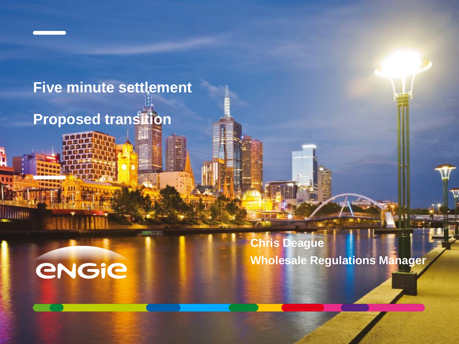#### **Five minute settlement**

#### **Proposed transition**

**ENGIE** 

**Chris Deague Wholesale Regulations Manager**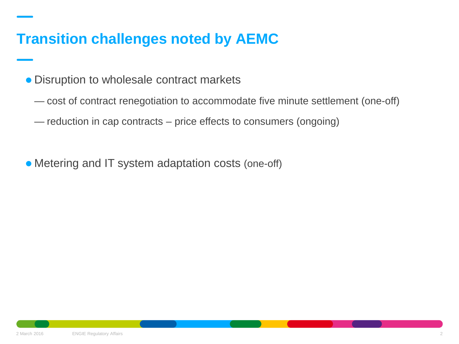#### **Transition challenges noted by AEMC**

- Disruption to wholesale contract markets
	- cost of contract renegotiation to accommodate five minute settlement (one-off)
	- reduction in cap contracts price effects to consumers (ongoing)
- Metering and IT system adaptation costs (one-off)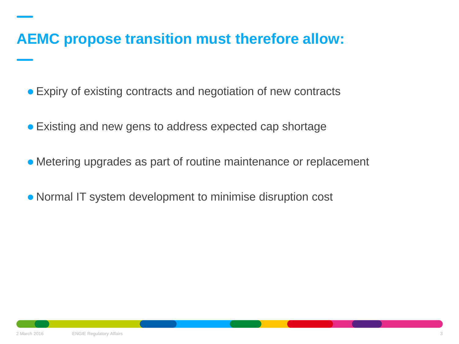#### **AEMC propose transition must therefore allow:**

- Expiry of existing contracts and negotiation of new contracts
- Existing and new gens to address expected cap shortage
- Metering upgrades as part of routine maintenance or replacement
- Normal IT system development to minimise disruption cost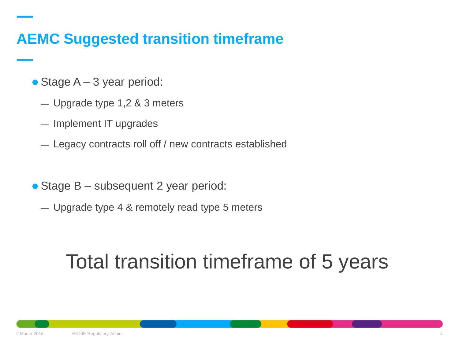#### **AEMC Suggested transition timeframe**

- Stage A 3 year period:
	- Upgrade type 1,2 & 3 meters
	- Implement IT upgrades
	- Legacy contracts roll off / new contracts established
- Stage B subsequent 2 year period:
	- Upgrade type 4 & remotely read type 5 meters

### Total transition timeframe of 5 years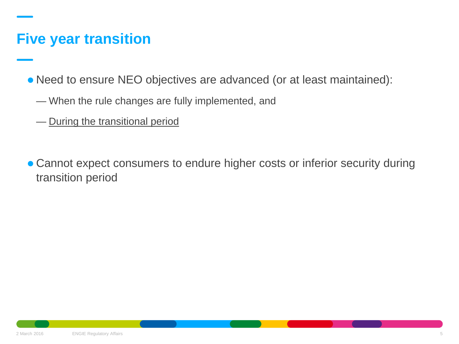#### **Five year transition**

Need to ensure NEO objectives are advanced (or at least maintained):

- When the rule changes are fully implemented, and
- During the transitional period
- Cannot expect consumers to endure higher costs or inferior security during transition period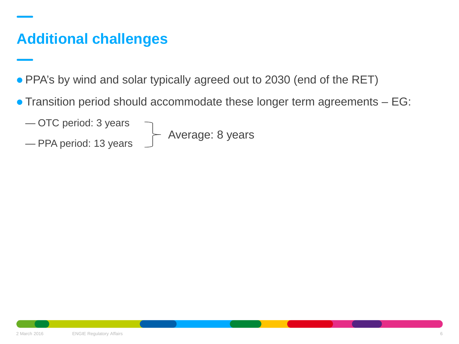#### **Additional challenges**

PPA's by wind and solar typically agreed out to 2030 (end of the RET)

Transition period should accommodate these longer term agreements – EG:

Average: 8 years

- OTC period: 3 years
- PPA period: 13 years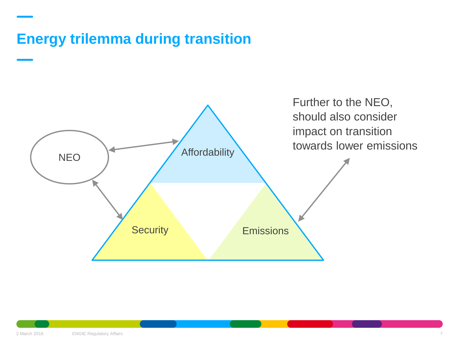#### **Energy trilemma during transition**

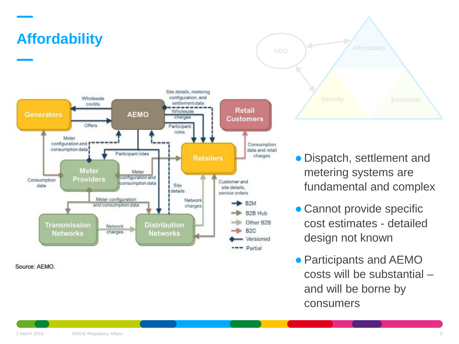#### **Affordability**



Source: AEMO.

Affordability Security **Emissions** NEO

- Dispatch, settlement and metering systems are fundamental and complex
- Cannot provide specific cost estimates - detailed design not known
- Participants and AEMO costs will be substantial – and will be borne by consumers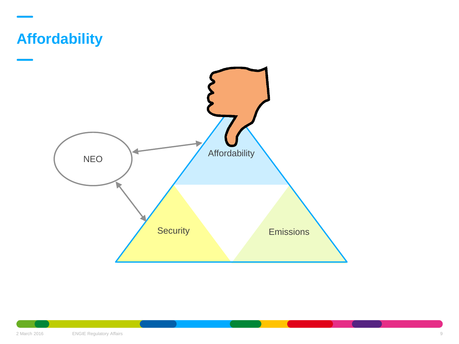# **Affordability** Affordability Security **Emissions** NEO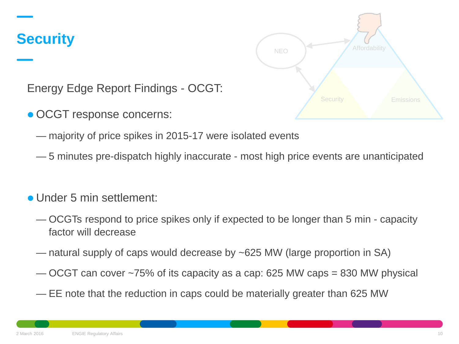#### **Security**

Security **Emissions** NEO

Energy Edge Report Findings - OCGT:

- OCGT response concerns:
	- majority of price spikes in 2015-17 were isolated events
	- 5 minutes pre-dispatch highly inaccurate most high price events are unanticipated
- Under 5 min settlement:
	- OCGTs respond to price spikes only if expected to be longer than 5 min capacity factor will decrease
	- natural supply of caps would decrease by ~625 MW (large proportion in SA)
	- OCGT can cover ~75% of its capacity as a cap: 625 MW caps = 830 MW physical
	- EE note that the reduction in caps could be materially greater than 625 MW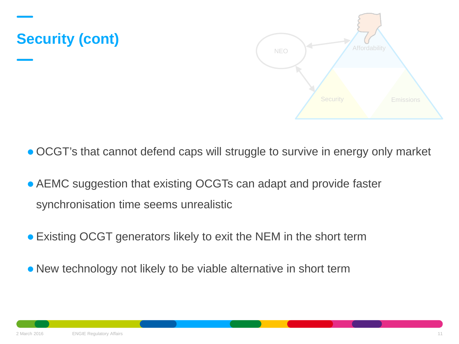

OCGT's that cannot defend caps will struggle to survive in energy only market

- AEMC suggestion that existing OCGTs can adapt and provide faster synchronisation time seems unrealistic
- Existing OCGT generators likely to exit the NEM in the short term
- New technology not likely to be viable alternative in short term

**Security (cont)**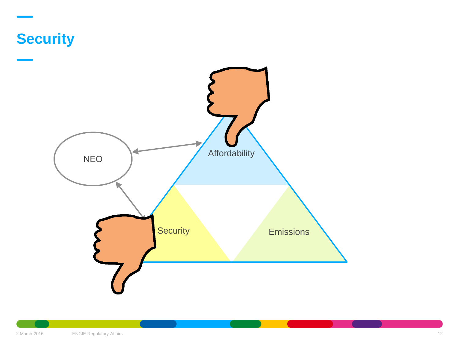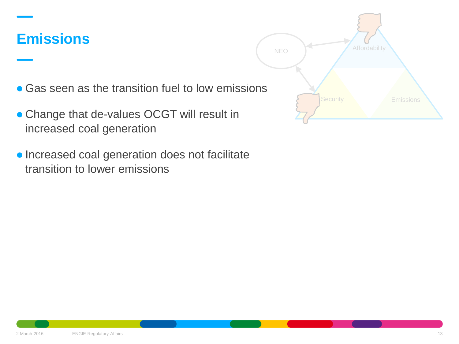#### **Emissions**



- Change that de-values OCGT will result in increased coal generation
- **Increased coal generation does not facilitate** transition to lower emissions

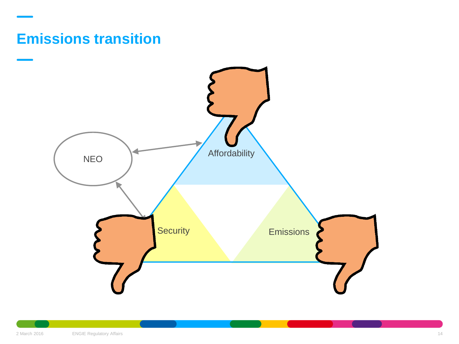#### **Emissions transition**

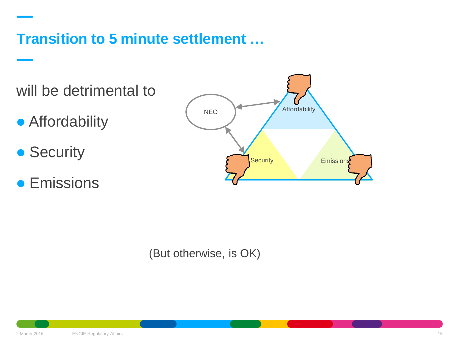#### **Transition to 5 minute settlement …**

will be detrimental to

- **Affordability**
- Security
- **•** Emissions



(But otherwise, is OK)